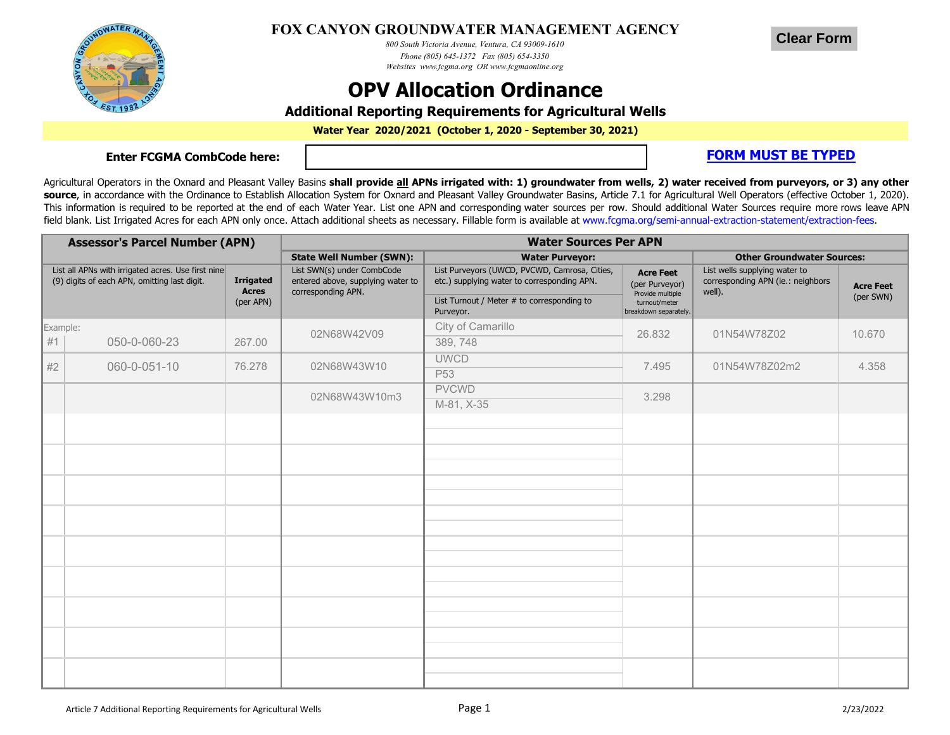

## **FOX CANYON GROUNDWATER MANAGEMENT AGENCY**

*800 South Victoria Avenue, Ventura, CA 93009-1610 Phone (805) 645-1372 Fax (805) 654-3350 Websites www.fcgma.org OR www.fcgmaonline.org*

## **OPV Allocation Ordinance**

**Additional Reporting Requirements for Agricultural Wells**

**Water Year 2020/2021 (October 1, 2020 - September 30, 2021)**

**Enter FCGMA CombCode here:**

**FORM MUST BE TYPED** 

**Clear Form**

Agricultural Operators in the Oxnard and Pleasant Valley Basins shall provide all APNs irrigated with: 1) groundwater from wells, 2) water received from purveyors, or 3) any other source, in accordance with the Ordinance to Establish Allocation System for Oxnard and Pleasant Valley Groundwater Basins, Article 7.1 for Agricultural Well Operators (effective October 1, 2020). This information is required to be reported at the end of each Water Year. List one APN and corresponding water sources per row. Should additional Water Sources require more rows leave APN field blank. List Irrigated Acres for each APN only once. Attach additional sheets as necessary. Fillable form is available at www.fcgma.org/semi-annual-extraction-statement/extraction-fees.

| <b>Assessor's Parcel Number (APN)</b>                                                                                                               |              |                                                                                       | <b>Water Sources Per APN</b>                                                                 |                                                                                                  |                                                                              |                                   |        |  |
|-----------------------------------------------------------------------------------------------------------------------------------------------------|--------------|---------------------------------------------------------------------------------------|----------------------------------------------------------------------------------------------|--------------------------------------------------------------------------------------------------|------------------------------------------------------------------------------|-----------------------------------|--------|--|
|                                                                                                                                                     |              |                                                                                       | <b>State Well Number (SWN):</b>                                                              | <b>Water Purveyor:</b>                                                                           |                                                                              | <b>Other Groundwater Sources:</b> |        |  |
| List all APNs with irrigated acres. Use first nine<br><b>Irrigated</b><br>(9) digits of each APN, omitting last digit.<br><b>Acres</b><br>(per APN) |              | List SWN(s) under CombCode<br>entered above, supplying water to<br>corresponding APN. | List Purveyors (UWCD, PVCWD, Camrosa, Cities,<br>etc.) supplying water to corresponding APN. | <b>Acre Feet</b><br>(per Purveyor)<br>Provide multiple<br>turnout/meter<br>breakdown separately. | List wells supplying water to<br>corresponding APN (ie.: neighbors<br>well). | <b>Acre Feet</b><br>(per SWN)     |        |  |
|                                                                                                                                                     |              |                                                                                       | List Turnout / Meter # to corresponding to<br>Purveyor.                                      |                                                                                                  |                                                                              |                                   |        |  |
|                                                                                                                                                     | Example:     |                                                                                       | 02N68W42V09                                                                                  | City of Camarillo                                                                                | 26.832                                                                       | 01N54W78Z02                       | 10.670 |  |
| #1                                                                                                                                                  | 050-0-060-23 | 267.00                                                                                |                                                                                              | 389, 748                                                                                         |                                                                              |                                   |        |  |
| #2                                                                                                                                                  | 060-0-051-10 | 76.278                                                                                | 02N68W43W10                                                                                  | <b>UWCD</b>                                                                                      | 7.495                                                                        | 01N54W78Z02m2                     | 4.358  |  |
|                                                                                                                                                     |              |                                                                                       |                                                                                              | P <sub>53</sub>                                                                                  |                                                                              |                                   |        |  |
|                                                                                                                                                     |              |                                                                                       | 02N68W43W10m3                                                                                | <b>PVCWD</b>                                                                                     | 3.298                                                                        |                                   |        |  |
|                                                                                                                                                     |              |                                                                                       |                                                                                              | M-81, X-35                                                                                       |                                                                              |                                   |        |  |
|                                                                                                                                                     |              |                                                                                       |                                                                                              |                                                                                                  |                                                                              |                                   |        |  |
|                                                                                                                                                     |              |                                                                                       |                                                                                              |                                                                                                  |                                                                              |                                   |        |  |
|                                                                                                                                                     |              |                                                                                       |                                                                                              |                                                                                                  |                                                                              |                                   |        |  |
|                                                                                                                                                     |              |                                                                                       |                                                                                              |                                                                                                  |                                                                              |                                   |        |  |
|                                                                                                                                                     |              |                                                                                       |                                                                                              |                                                                                                  |                                                                              |                                   |        |  |
|                                                                                                                                                     |              |                                                                                       |                                                                                              |                                                                                                  |                                                                              |                                   |        |  |
|                                                                                                                                                     |              |                                                                                       |                                                                                              |                                                                                                  |                                                                              |                                   |        |  |
|                                                                                                                                                     |              |                                                                                       |                                                                                              |                                                                                                  |                                                                              |                                   |        |  |
|                                                                                                                                                     |              |                                                                                       |                                                                                              |                                                                                                  |                                                                              |                                   |        |  |
|                                                                                                                                                     |              |                                                                                       |                                                                                              |                                                                                                  |                                                                              |                                   |        |  |
|                                                                                                                                                     |              |                                                                                       |                                                                                              |                                                                                                  |                                                                              |                                   |        |  |
|                                                                                                                                                     |              |                                                                                       |                                                                                              |                                                                                                  |                                                                              |                                   |        |  |
|                                                                                                                                                     |              |                                                                                       |                                                                                              |                                                                                                  |                                                                              |                                   |        |  |
|                                                                                                                                                     |              |                                                                                       |                                                                                              |                                                                                                  |                                                                              |                                   |        |  |
|                                                                                                                                                     |              |                                                                                       |                                                                                              |                                                                                                  |                                                                              |                                   |        |  |
|                                                                                                                                                     |              |                                                                                       |                                                                                              |                                                                                                  |                                                                              |                                   |        |  |
|                                                                                                                                                     |              |                                                                                       |                                                                                              |                                                                                                  |                                                                              |                                   |        |  |